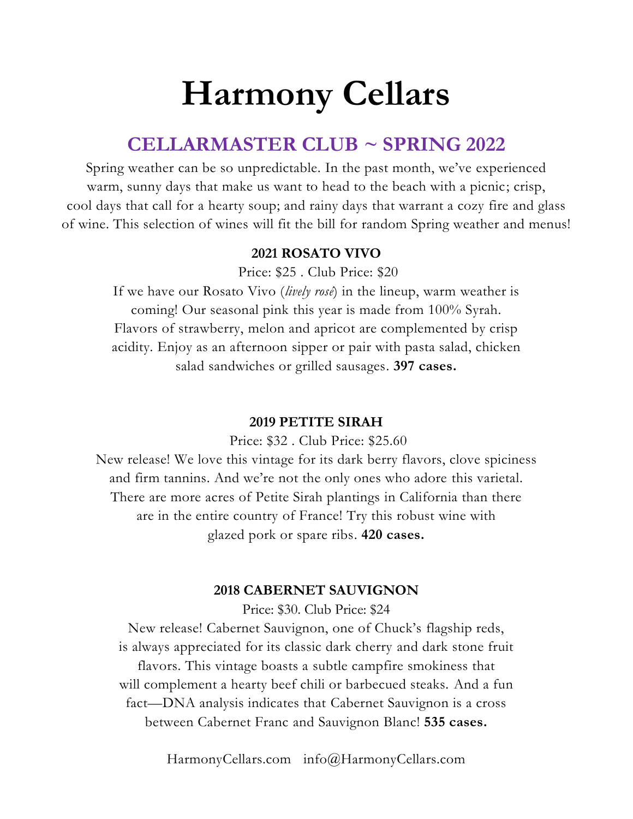# **Harmony Cellars**

# **CELLARMASTER CLUB ~ SPRING 2022**

Spring weather can be so unpredictable. In the past month, we've experienced warm, sunny days that make us want to head to the beach with a picnic; crisp, cool days that call for a hearty soup; and rainy days that warrant a cozy fire and glass of wine. This selection of wines will fit the bill for random Spring weather and menus!

## **2021 ROSATO VIVO**

Price: \$25 . Club Price: \$20

If we have our Rosato Vivo (*lively rosé*) in the lineup, warm weather is coming! Our seasonal pink this year is made from 100% Syrah. Flavors of strawberry, melon and apricot are complemented by crisp acidity. Enjoy as an afternoon sipper or pair with pasta salad, chicken salad sandwiches or grilled sausages. **397 cases.**

### **2019 PETITE SIRAH**

Price: \$32 . Club Price: \$25.60

New release! We love this vintage for its dark berry flavors, clove spiciness and firm tannins. And we're not the only ones who adore this varietal. There are more acres of Petite Sirah plantings in California than there are in the entire country of France! Try this robust wine with glazed pork or spare ribs. **420 cases.**

### **2018 CABERNET SAUVIGNON**

Price: \$30. Club Price: \$24

New release! Cabernet Sauvignon, one of Chuck's flagship reds, is always appreciated for its classic dark cherry and dark stone fruit flavors. This vintage boasts a subtle campfire smokiness that will complement a hearty beef chili or barbecued steaks. And a fun fact—DNA analysis indicates that Cabernet Sauvignon is a cross between Cabernet Franc and Sauvignon Blanc! **535 cases.**

HarmonyCellars.com [info@HarmonyCellars.com](mailto:info@HarmonyCellars.com)